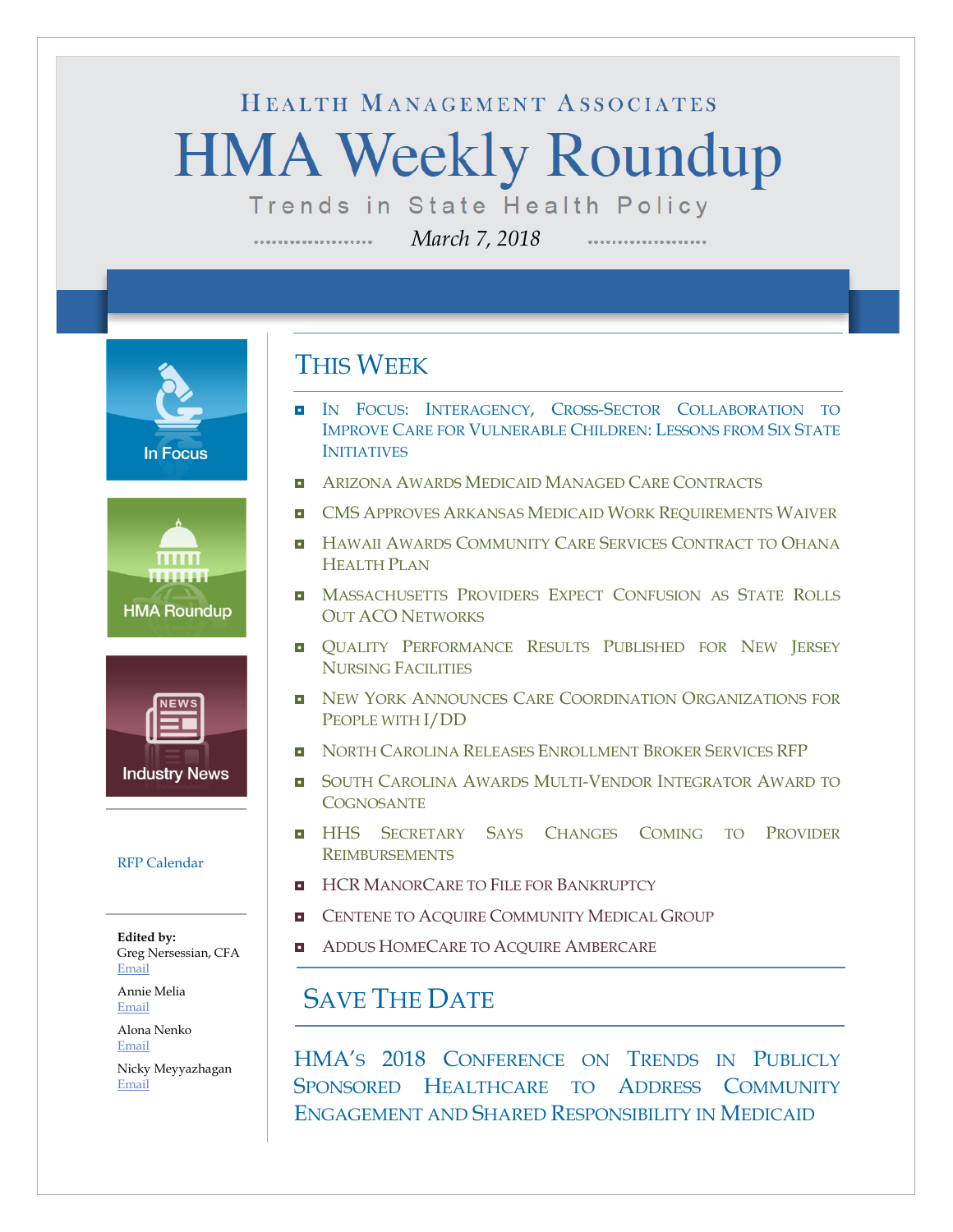# HEALTH MANAGEMENT ASSOCIATES **HMA Weekly Roundup** Trends in State Health Policy

*March 7, 2018*

**In Focus** 





#### [RFP Calendar](#page-15-0)

**Edited by:** Greg Nersessian, CFA [Email](mailto:gnersessian@healthmanagement.com)

Annie Melia [Email](mailto:amelia@healthmanagement.com)

Alona Nenko [Email](mailto:anenko@healthmanagement.com)

Nicky Meyyazhagan [Email](mailto:nmeyyazhagan@healthmanagement.com)

### THIS WEEK

....................

- IN FOCUS: INTERAGENCY, CROSS-SECTOR COLLABORATION TO [IMPROVE CARE FOR VULNERABLE CHILDREN:](#page-2-0) LESSONS FROM SIX STATE **[INITIATIVES](#page-2-0)**
- **[ARIZONA AWARDS MEDICAID MANAGED CARE CONTRACTS](#page-4-0)**
- **D** CMS [APPROVES ARKANSAS MEDICAID WORK REQUIREMENTS WAIVER](#page-4-1)
- **H** HAWAII AWARDS COMMUNITY CARE SERVICES CONTRACT TO OHANA [HEALTH PLAN](#page-5-0)
- **D** MASSACHUSETTS PROVIDERS EXPECT CONFUSION AS STATE ROLLS OUT ACO [NETWORKS](#page-6-0)
- **QUALITY PERFORMANCE RESULTS PUBLISHED FOR NEW JERSEY** [NURSING FACILITIES](#page-6-1)
- **D** NEW YORK ANNOUNCES CARE COORDINATION ORGANIZATIONS FOR [PEOPLE WITH I/DD](#page-7-0)
- **[NORTH CAROLINA RELEASES ENROLLMENT BROKER SERVICES RFP](#page-9-0)**
- **B** SOUTH CAROLINA AWARDS MULTI-VENDOR INTEGRATOR AWARD TO **[COGNOSANTE](#page-10-0)**
- **HHS SECRETARY SAYS CHANGES COMING TO PROVIDER** [REIMBURSEMENTS](#page-11-0)
- **HCR [MANORCARE TO FILE FOR BANKRUPTCY](#page-13-0)**
- **ENTENE TO ACQUIRE COMMUNITY MEDICAL GROUP**
- **[ADDUS HOMECARE TO ACQUIRE AMBERCARE](#page-13-0)**

### SAVE THE DATE

HMA'S 2018 CONFERENCE ON TRENDS IN PUBLICLY SPONSORED HEALTHCARE TO ADDRESS COMMUNITY ENGAGEMENT AND SHARED RESPONSIBILITY IN MEDICAID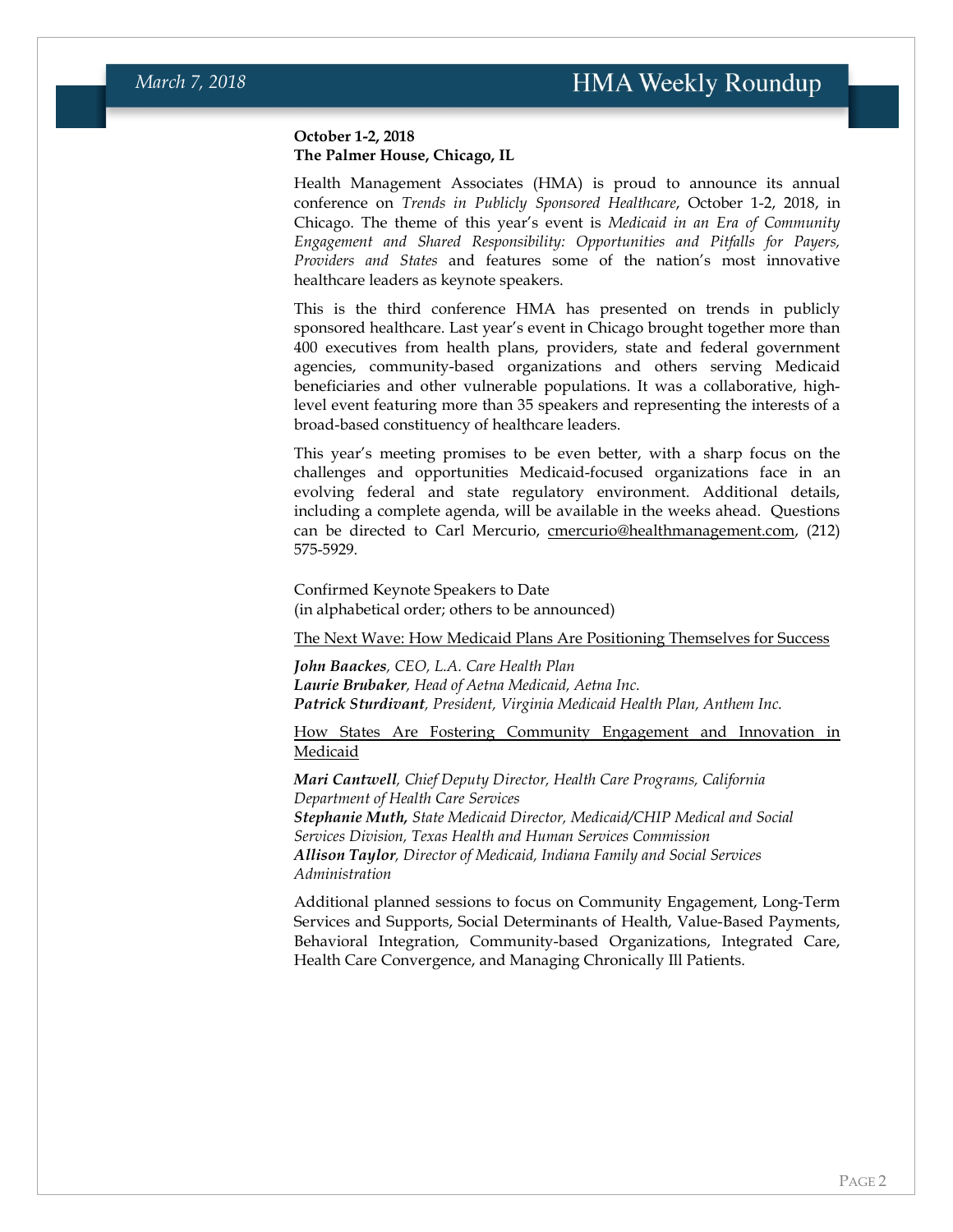#### **October 1-2, 2018 The Palmer House, Chicago, IL**

Health Management Associates (HMA) is proud to announce its annual conference on *Trends in Publicly Sponsored Healthcare*, October 1-2, 2018, in Chicago. The theme of this year's event is *Medicaid in an Era of Community Engagement and Shared Responsibility: Opportunities and Pitfalls for Payers, Providers and States* and features some of the nation's most innovative healthcare leaders as keynote speakers.

This is the third conference HMA has presented on trends in publicly sponsored healthcare. Last year's event in Chicago brought together more than 400 executives from health plans, providers, state and federal government agencies, community-based organizations and others serving Medicaid beneficiaries and other vulnerable populations. It was a collaborative, highlevel event featuring more than 35 speakers and representing the interests of a broad-based constituency of healthcare leaders.

This year's meeting promises to be even better, with a sharp focus on the challenges and opportunities Medicaid-focused organizations face in an evolving federal and state regulatory environment. Additional details, including a complete agenda, will be available in the weeks ahead. Questions can be directed to Carl Mercurio, [cmercurio@healthmanagement.com,](mailto:cmercurio@healthmanagement.com) (212) 575-5929.

Confirmed Keynote Speakers to Date (in alphabetical order; others to be announced)

The Next Wave: How Medicaid Plans Are Positioning Themselves for Success

*John Baackes, CEO, L.A. Care Health Plan Laurie Brubaker, Head of Aetna Medicaid, Aetna Inc. Patrick Sturdivant, President, Virginia Medicaid Health Plan, Anthem Inc.*

How States Are Fostering Community Engagement and Innovation in Medicaid

*Mari Cantwell, Chief Deputy Director, Health Care Programs, California Department of Health Care Services [Stephanie Muth,](https://hhs.texas.gov/about-hhs/leadership/executive-teams-organizational-charts/state-medicaid-director-stephanie-muth) State Medicaid Director, Medicaid/CHIP Medical and Social Services Division, Texas Health and Human Services Commission Allison Taylor, Director of Medicaid, Indiana Family and Social Services Administration*

Additional planned sessions to focus on Community Engagement, Long-Term Services and Supports, Social Determinants of Health, Value-Based Payments, Behavioral Integration, Community-based Organizations, Integrated Care, Health Care Convergence, and Managing Chronically Ill Patients.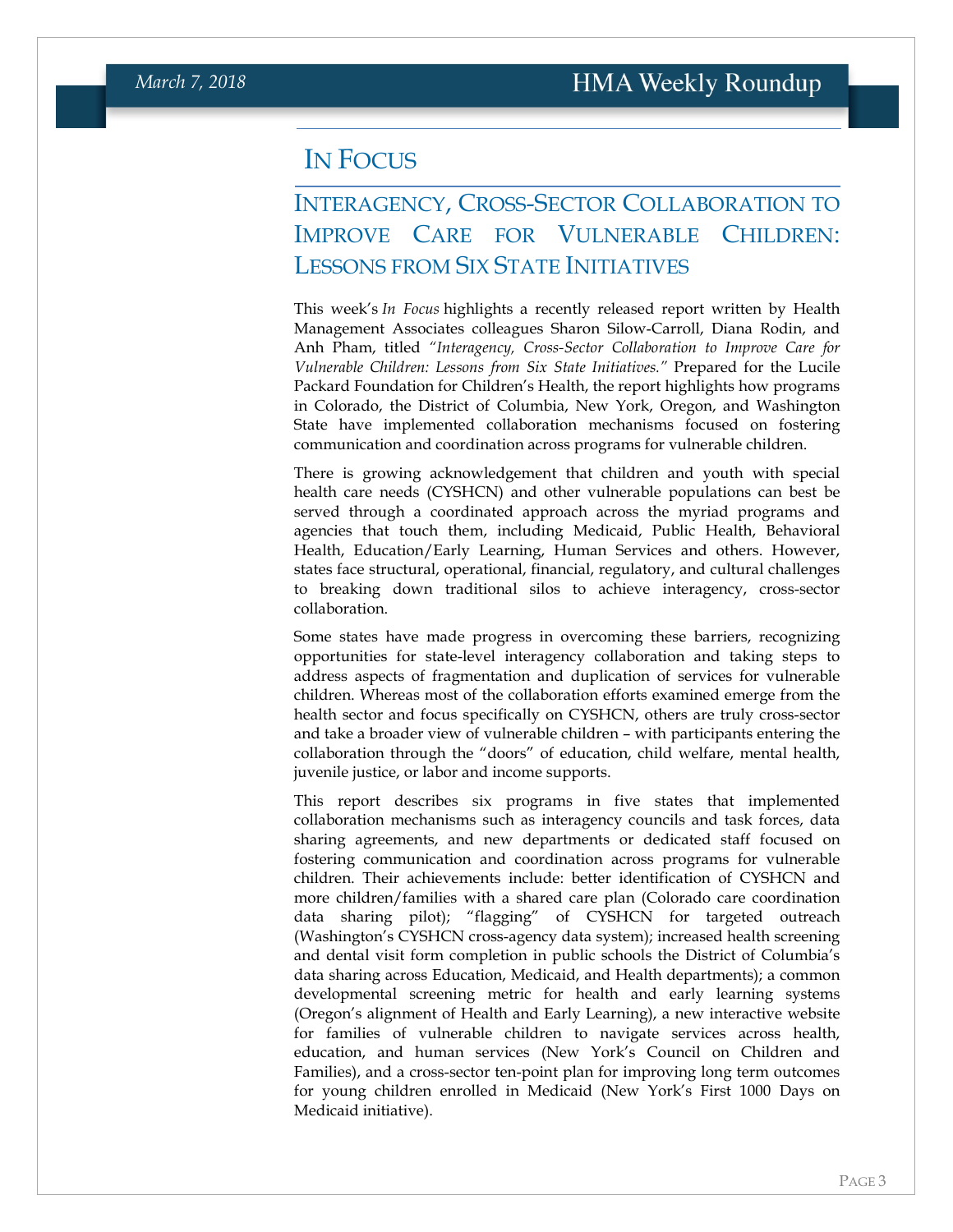#### <span id="page-2-0"></span>IN FOCUS

#### INTERAGENCY, CROSS-SECTOR COLLABORATION TO IMPROVE CARE FOR VULNERABLE CHILDREN: LESSONS FROM SIX STATE INITIATIVES

This week's *In Focus* highlights a recently released report written by Health Management Associates colleagues Sharon Silow‐Carroll, Diana Rodin, and Anh Pham, titled *"Interagency, Cross-Sector Collaboration to Improve Care for Vulnerable Children: Lessons from Six State Initiatives."* Prepared for the Lucile Packard Foundation for Children's Health, the report highlights how programs in Colorado, the District of Columbia, New York, Oregon, and Washington State have implemented collaboration mechanisms focused on fostering communication and coordination across programs for vulnerable children.

There is growing acknowledgement that children and youth with special health care needs (CYSHCN) and other vulnerable populations can best be served through a coordinated approach across the myriad programs and agencies that touch them, including Medicaid, Public Health, Behavioral Health, Education/Early Learning, Human Services and others. However, states face structural, operational, financial, regulatory, and cultural challenges to breaking down traditional silos to achieve interagency, cross-sector collaboration.

Some states have made progress in overcoming these barriers, recognizing opportunities for state-level interagency collaboration and taking steps to address aspects of fragmentation and duplication of services for vulnerable children. Whereas most of the collaboration efforts examined emerge from the health sector and focus specifically on CYSHCN, others are truly cross-sector and take a broader view of vulnerable children – with participants entering the collaboration through the "doors" of education, child welfare, mental health, juvenile justice, or labor and income supports.

This report describes six programs in five states that implemented collaboration mechanisms such as interagency councils and task forces, data sharing agreements, and new departments or dedicated staff focused on fostering communication and coordination across programs for vulnerable children. Their achievements include: better identification of CYSHCN and more children/families with a shared care plan (Colorado care coordination data sharing pilot); "flagging" of CYSHCN for targeted outreach (Washington's CYSHCN cross-agency data system); increased health screening and dental visit form completion in public schools the District of Columbia's data sharing across Education, Medicaid, and Health departments); a common developmental screening metric for health and early learning systems (Oregon's alignment of Health and Early Learning), a new interactive website for families of vulnerable children to navigate services across health, education, and human services (New York's Council on Children and Families), and a cross-sector ten-point plan for improving long term outcomes for young children enrolled in Medicaid (New York's First 1000 Days on Medicaid initiative).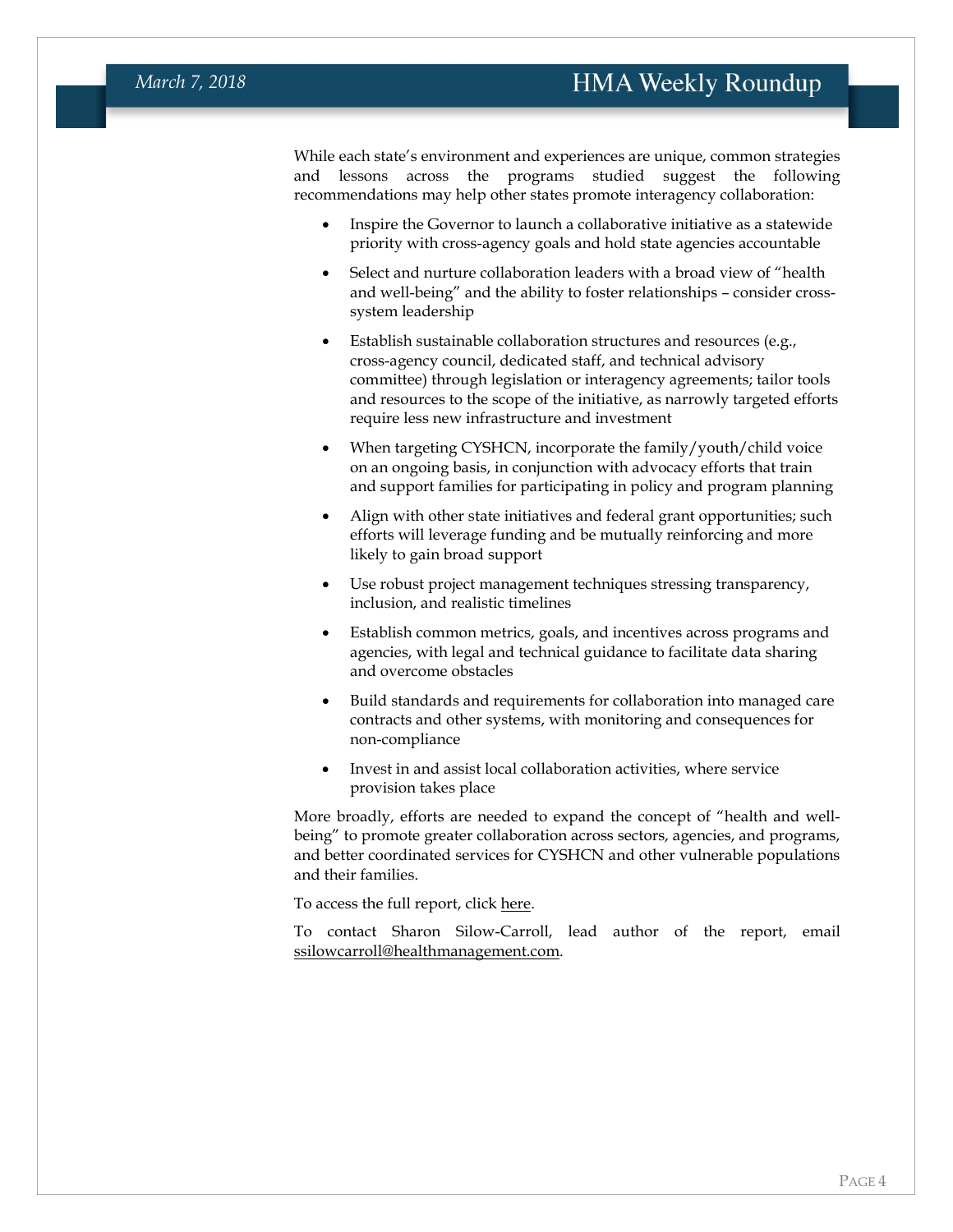While each state's environment and experiences are unique, common strategies and lessons across the programs studied suggest the following recommendations may help other states promote interagency collaboration:

- Inspire the Governor to launch a collaborative initiative as a statewide priority with cross-agency goals and hold state agencies accountable
- Select and nurture collaboration leaders with a broad view of "health" and well-being" and the ability to foster relationships – consider crosssystem leadership
- Establish sustainable collaboration structures and resources (e.g., cross-agency council, dedicated staff, and technical advisory committee) through legislation or interagency agreements; tailor tools and resources to the scope of the initiative, as narrowly targeted efforts require less new infrastructure and investment
- When targeting CYSHCN, incorporate the family/youth/child voice on an ongoing basis, in conjunction with advocacy efforts that train and support families for participating in policy and program planning
- Align with other state initiatives and federal grant opportunities; such efforts will leverage funding and be mutually reinforcing and more likely to gain broad support
- Use robust project management techniques stressing transparency, inclusion, and realistic timelines
- Establish common metrics, goals, and incentives across programs and agencies, with legal and technical guidance to facilitate data sharing and overcome obstacles
- Build standards and requirements for collaboration into managed care contracts and other systems, with monitoring and consequences for non-compliance
- Invest in and assist local collaboration activities, where service provision takes place

More broadly, efforts are needed to expand the concept of "health and wellbeing" to promote greater collaboration across sectors, agencies, and programs, and better coordinated services for CYSHCN and other vulnerable populations and their families.

To access the full report, click [here.](https://www.healthmanagement.com/wp-content/uploads/HMA-Interagency-Collaboration-National-report-02.15.2018.pdf)

To contact Sharon Silow-Carroll, lead author of the report, email [ssilowcarroll@healthmanagement.com.](mailto:ssilowcarroll@healthmanagement.com)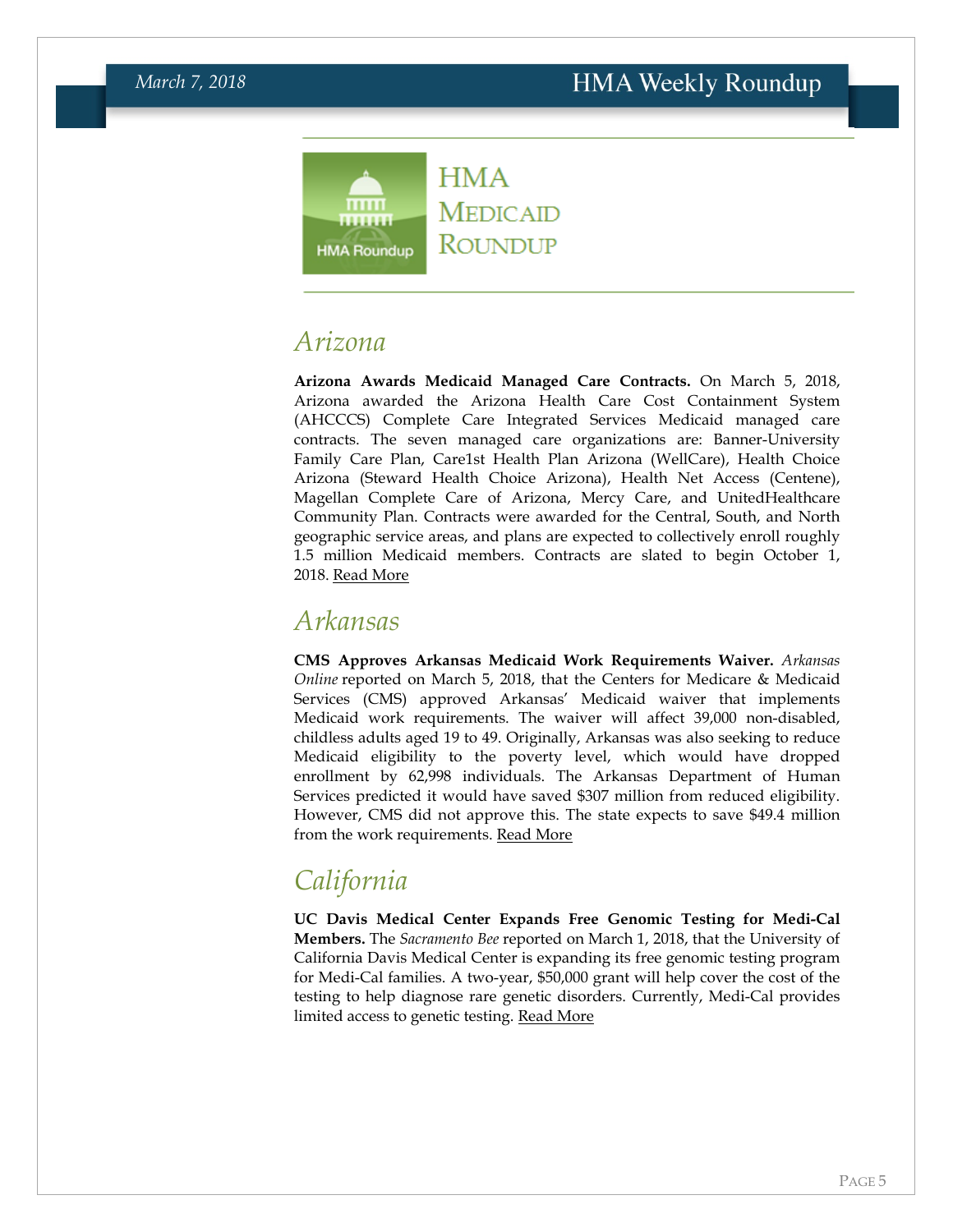### **HMA**  $mm$ ....... **HMA Roundup**

**MEDICAID** ROUNDUP

## <span id="page-4-0"></span>*Arizona*

**Arizona Awards Medicaid Managed Care Contracts.** On March 5, 2018, Arizona awarded the Arizona Health Care Cost Containment System (AHCCCS) Complete Care Integrated Services Medicaid managed care contracts. The seven managed care organizations are: Banner-University Family Care Plan, Care1st Health Plan Arizona (WellCare), Health Choice Arizona (Steward Health Choice Arizona), Health Net Access (Centene), Magellan Complete Care of Arizona, Mercy Care, and UnitedHealthcare Community Plan. Contracts were awarded for the Central, South, and North geographic service areas, and plans are expected to collectively enroll roughly 1.5 million Medicaid members. Contracts are slated to begin October 1, 2018. [Read More](https://azahcccs.gov/shared/News/PressRelease/AHCCCSAwardsContractstoManagedCareOrganizations.html)

### <span id="page-4-1"></span>*Arkansas*

**CMS Approves Arkansas Medicaid Work Requirements Waiver.** *Arkansas Online* reported on March 5, 2018, that the Centers for Medicare & Medicaid Services (CMS) approved Arkansas' Medicaid waiver that implements Medicaid work requirements. The waiver will affect 39,000 non-disabled, childless adults aged 19 to 49. Originally, Arkansas was also seeking to reduce Medicaid eligibility to the poverty level, which would have dropped enrollment by 62,998 individuals. The Arkansas Department of Human Services predicted it would have saved \$307 million from reduced eligibility. However, CMS did not approve this. The state expects to save \$49.4 million from the work requirements. [Read More](http://www.arkansasonline.com/news/2018/mar/05/work-requirement-okd-arkansas-medicaid-expansion-p/)

## *California*

**UC Davis Medical Center Expands Free Genomic Testing for Medi-Cal Members.** The *Sacramento Bee* reported on March 1, 2018, that the University of California Davis Medical Center is expanding its free genomic testing program for Medi-Cal families. A two-year, \$50,000 grant will help cover the cost of the testing to help diagnose rare genetic disorders. Currently, Medi-Cal provides limited access to genetic testing. [Read More](http://www.sacbee.com/news/local/health-and-medicine/article202968334.html)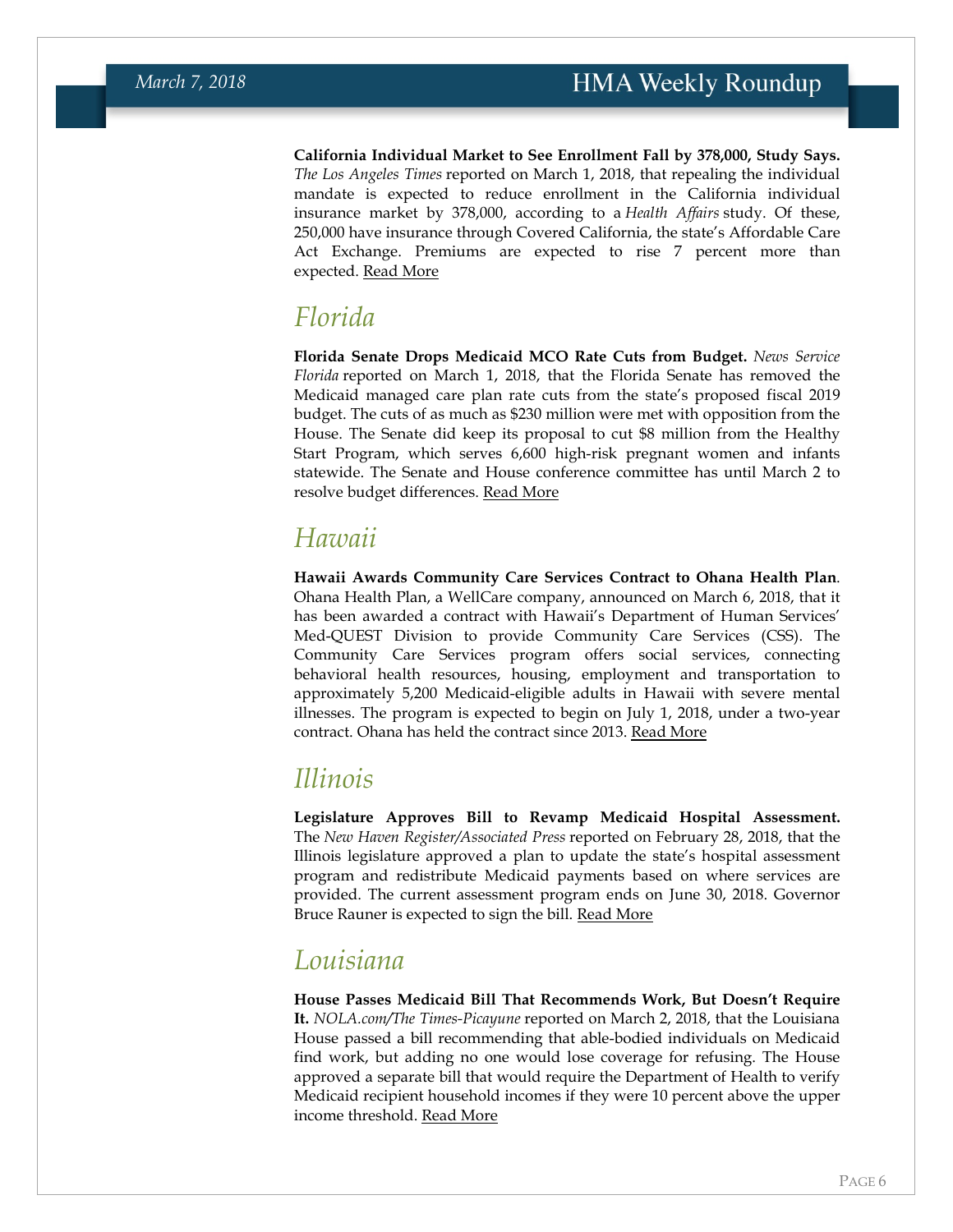**California Individual Market to See Enrollment Fall by 378,000, Study Says.** *The Los Angeles Times* reported on March 1, 2018, that repealing the individual mandate is expected to reduce enrollment in the California individual insurance market by 378,000, according to a *Health Affairs* study. Of these, 250,000 have insurance through Covered California, the state's Affordable Care Act Exchange. Premiums are expected to rise 7 percent more than expected. [Read More](http://www.latimes.com/business/la-fi-tax-mandate-study-20180301-story.html)

#### *Florida*

**Florida Senate Drops Medicaid MCO Rate Cuts from Budget.** *News Service Florida* reported on March 1, 2018, that the Florida Senate has removed the Medicaid managed care plan rate cuts from the state's proposed fiscal 2019 budget. The cuts of as much as \$230 million were met with opposition from the House. The Senate did keep its proposal to cut \$8 million from the Healthy Start Program, which serves 6,600 high-risk pregnant women and infants statewide. The Senate and House conference committee has until March 2 to resolve budget differences. [Read More](https://newsserviceflorida.com/app/post.cfm?postID=28292)

## <span id="page-5-0"></span>*Hawaii*

**Hawaii Awards Community Care Services Contract to Ohana Health Plan**. Ohana Health Plan, a WellCare company, announced on March 6, 2018, that it has been awarded a contract with Hawaii's Department of Human Services' Med-QUEST Division to provide Community Care Services (CSS). The Community Care Services program offers social services, connecting behavioral health resources, housing, employment and transportation to approximately 5,200 Medicaid-eligible adults in Hawaii with severe mental illnesses. The program is expected to begin on July 1, 2018, under a two-year contract. Ohana has held the contract since 2013. [Read More](http://ir.wellcare.com/file/Index?KeyFile=392476744)

### *Illinois*

**Legislature Approves Bill to Revamp Medicaid Hospital Assessment.**  The *New Haven Register/Associated Press* reported on February 28, 2018, that the Illinois legislature approved a plan to update the state's hospital assessment program and redistribute Medicaid payments based on where services are provided. The current assessment program ends on June 30, 2018. Governor Bruce Rauner is expected to sign the bill. [Read More](https://www.nhregister.com/news/article/Illinois-House-OKs-plan-for-Medicaid-hospital-12717203.php)

## *Louisiana*

**House Passes Medicaid Bill That Recommends Work, But Doesn't Require It.** *NOLA.com/The Times-Picayune* reported on March 2, 2018, that the Louisiana House passed a bill recommending that able-bodied individuals on Medicaid find work, but adding no one would lose coverage for refusing. The House approved a separate bill that would require the Department of Health to verify Medicaid recipient household incomes if they were 10 percent above the upper income threshold. [Read More](http://www.nola.com/politics/index.ssf/2018/03/louisiana_medicaid_work_requir_1.html)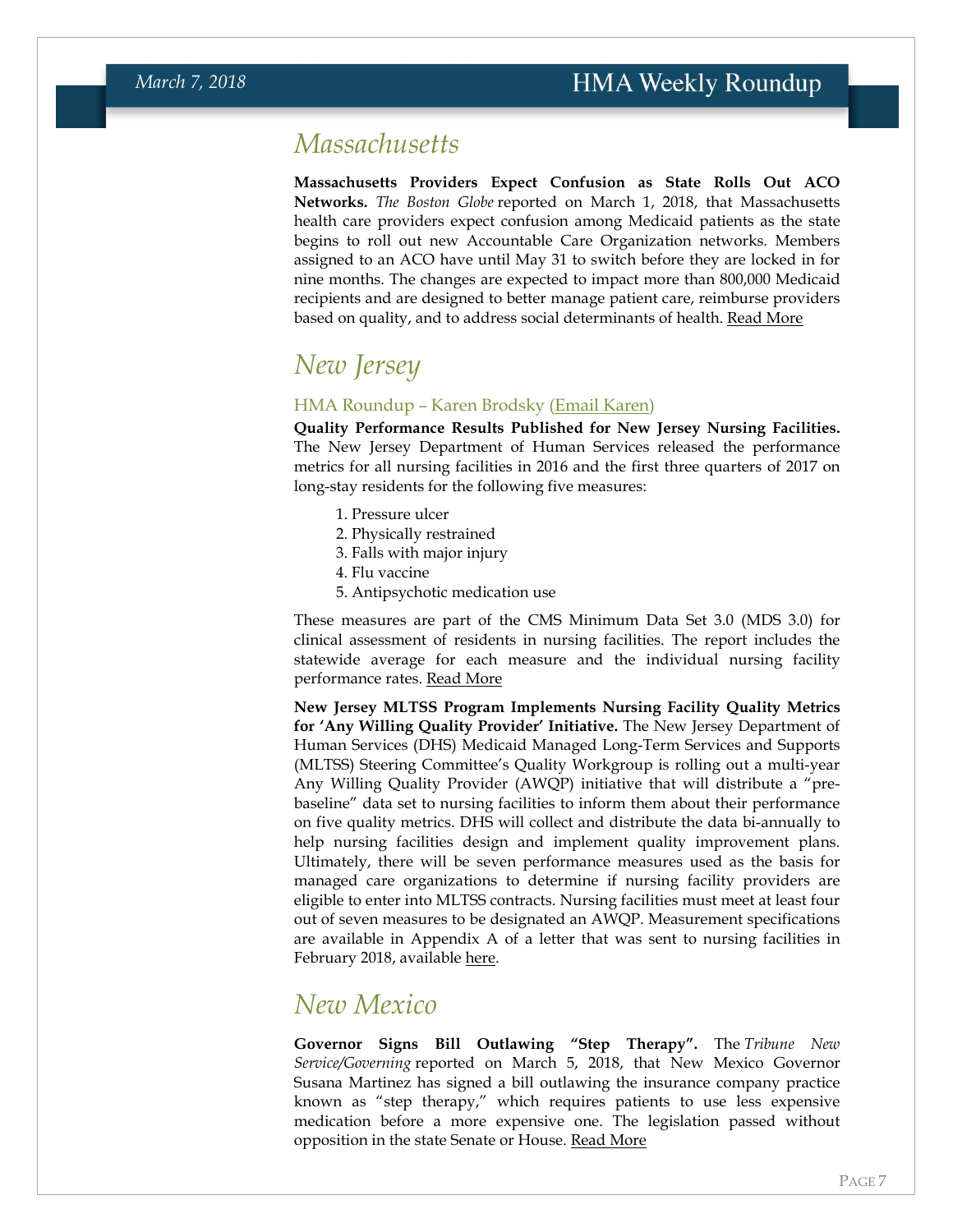#### <span id="page-6-0"></span>*Massachusetts*

**Massachusetts Providers Expect Confusion as State Rolls Out ACO Networks.** *The Boston Globe* reported on March 1, 2018, that Massachusetts health care providers expect confusion among Medicaid patients as the state begins to roll out new Accountable Care Organization networks. Members assigned to an ACO have until May 31 to switch before they are locked in for nine months. The changes are expected to impact more than 800,000 Medicaid recipients and are designed to better manage patient care, reimburse providers based on quality, and to address social determinants of health. [Read More](https://www.bostonglobe.com/business/2018/02/28/masshealth/SUZzc5Hjcn17891Zfah4GN/story.html)

## <span id="page-6-1"></span>*New Jersey*

#### HMA Roundup – Karen Brodsky [\(Email Karen\)](mailto:kbrodsky@healthmanagement.com)

**Quality Performance Results Published for New Jersey Nursing Facilities.**  The New Jersey Department of Human Services released the performance metrics for all nursing facilities in 2016 and the first three quarters of 2017 on long-stay residents for the following five measures:

- 1. Pressure ulcer
- 2. Physically restrained
- 3. Falls with major injury
- 4. Flu vaccine
- 5. Antipsychotic medication use

These measures are part of the CMS Minimum Data Set 3.0 (MDS 3.0) for clinical assessment of residents in nursing facilities. The report includes the statewide average for each measure and the individual nursing facility performance rates. [Read More](http://www.nj.gov/humanservices/dmahs/home/Quality_Performance_Standards_February_2018_Data_Release.pdf)

**New Jersey MLTSS Program Implements Nursing Facility Quality Metrics for 'Any Willing Quality Provider' Initiative.** The New Jersey Department of Human Services (DHS) Medicaid Managed Long-Term Services and Supports (MLTSS) Steering Committee's Quality Workgroup is rolling out a multi-year Any Willing Quality Provider (AWQP) initiative that will distribute a "prebaseline" data set to nursing facilities to inform them about their performance on five quality metrics. DHS will collect and distribute the data bi-annually to help nursing facilities design and implement quality improvement plans. Ultimately, there will be seven performance measures used as the basis for managed care organizations to determine if nursing facility providers are eligible to enter into MLTSS contracts. Nursing facilities must meet at least four out of seven measures to be designated an AWQP. Measurement specifications are available in Appendix A of a letter that was sent to nursing facilities in February 2018, available [here.](http://www.nj.gov/humanservices/dmahs/home/Letter_to_Medicaid_Nursing_Homes_February_2018.pdf)

#### *New Mexico*

**Governor Signs Bill Outlawing "Step Therapy".** The *Tribune New Service/Governing* reported on March 5, 2018, that New Mexico Governor Susana Martinez has signed a bill outlawing the insurance company practice known as "step therapy," which requires patients to use less expensive medication before a more expensive one. The legislation passed without opposition in the state Senate or House. [Read More](http://www.governing.com/topics/health-human-services/tns-new-mexico-martinez-step-therapy.html)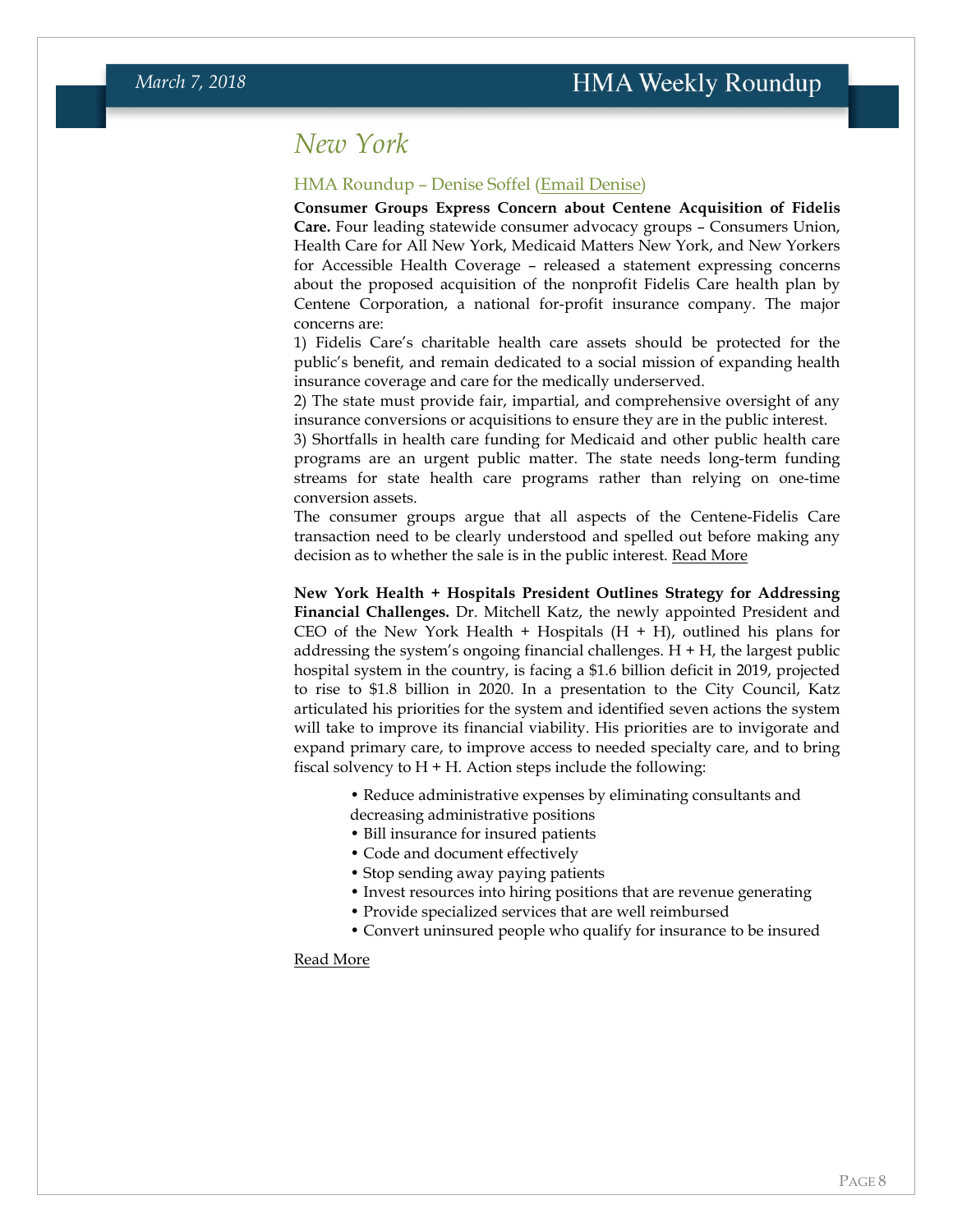#### <span id="page-7-0"></span>*New York*

#### HMA Roundup – Denise Soffel [\(Email Denise\)](mailto:dsoffel@healthmanagement.com)

**Consumer Groups Express Concern about Centene Acquisition of Fidelis Care.** Four leading statewide consumer advocacy groups – Consumers Union, Health Care for All New York, Medicaid Matters New York, and New Yorkers for Accessible Health Coverage – released a statement expressing concerns about the proposed acquisition of the nonprofit Fidelis Care health plan by Centene Corporation, a national for-profit insurance company. The major concerns are:

1) Fidelis Care's charitable health care assets should be protected for the public's benefit, and remain dedicated to a social mission of expanding health insurance coverage and care for the medically underserved.

2) The state must provide fair, impartial, and comprehensive oversight of any insurance conversions or acquisitions to ensure they are in the public interest.

3) Shortfalls in health care funding for Medicaid and other public health care programs are an urgent public matter. The state needs long-term funding streams for state health care programs rather than relying on one-time conversion assets.

The consumer groups argue that all aspects of the Centene-Fidelis Care transaction need to be clearly understood and spelled out before making any decision as to whether the sale is in the public interest. [Read More](http://medicaidmattersny.org/)

**New York Health + Hospitals President Outlines Strategy for Addressing Financial Challenges.** Dr. Mitchell Katz, the newly appointed President and CEO of the New York Health  $+$  Hospitals  $(H + H)$ , outlined his plans for addressing the system's ongoing financial challenges.  $H + H$ , the largest public hospital system in the country, is facing a \$1.6 billion deficit in 2019, projected to rise to \$1.8 billion in 2020. In a presentation to the City Council, Katz articulated his priorities for the system and identified seven actions the system will take to improve its financial viability. His priorities are to invigorate and expand primary care, to improve access to needed specialty care, and to bring fiscal solvency to  $H + H$ . Action steps include the following:

- Reduce administrative expenses by eliminating consultants and
- decreasing administrative positions
- Bill insurance for insured patients
- Code and document effectively
- Stop sending away paying patients
- Invest resources into hiring positions that are revenue generating
- Provide specialized services that are well reimbursed
- Convert uninsured people who qualify for insurance to be insured

#### [Read More](http://www.nychealthandhospitals.org/new-york-city-council-hearing-examining-the-status-of-one-new-york-health-care-for-our-neighborhoods-what-progress-has-been-made-and-what-challenges-lie-ahead/)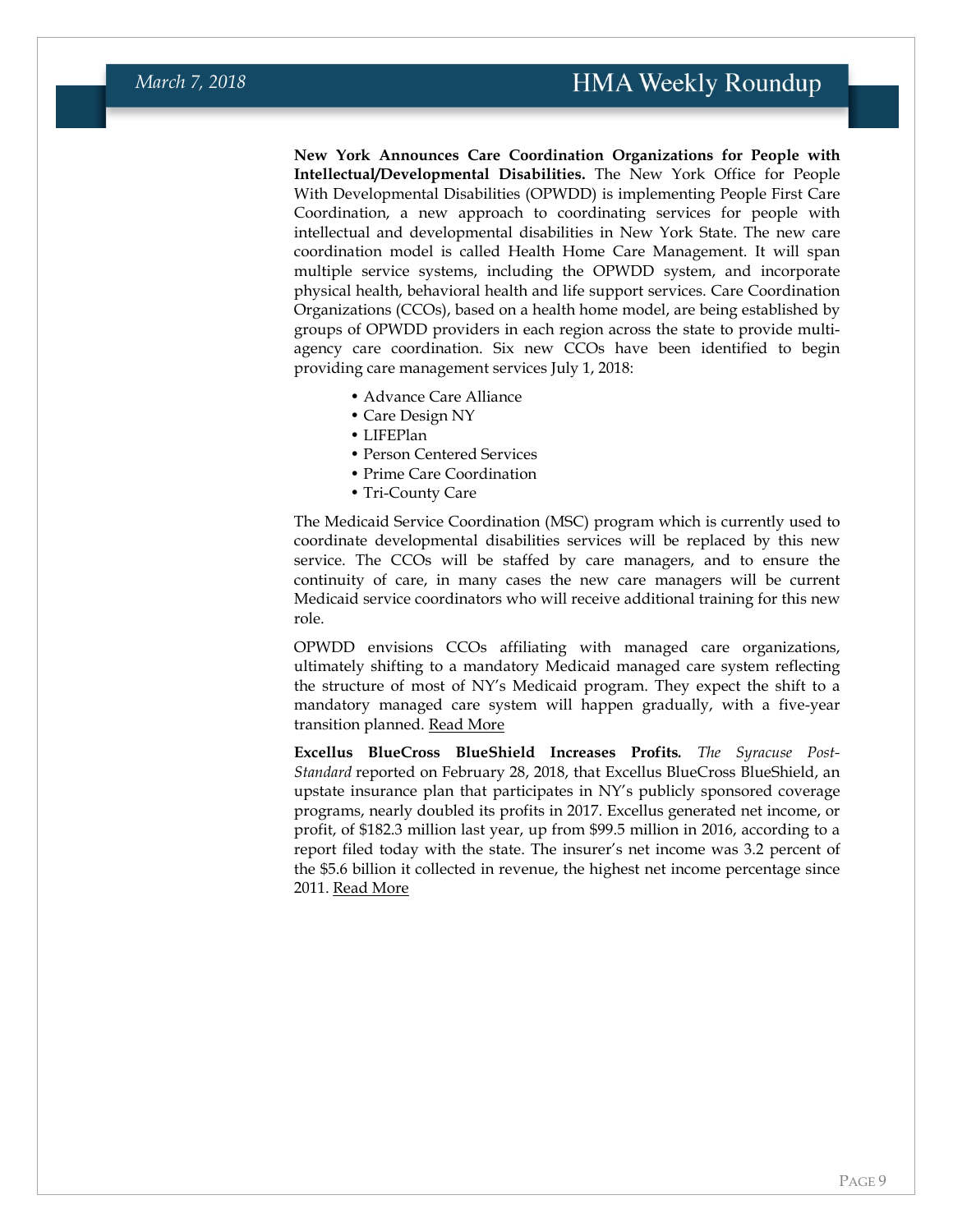#### **HMA Weekly Roundup**

**New York Announces Care Coordination Organizations for People with Intellectual/Developmental Disabilities.** The New York Office for People With Developmental Disabilities (OPWDD) is implementing People First Care Coordination, a new approach to coordinating services for people with intellectual and developmental disabilities in New York State. The new care coordination model is called Health Home Care Management. It will span multiple service systems, including the OPWDD system, and incorporate physical health, behavioral health and life support services. Care Coordination Organizations (CCOs), based on a health home model, are being established by groups of OPWDD providers in each region across the state to provide multiagency care coordination. Six new CCOs have been identified to begin

- providing care management services July 1, 2018:
	- Advance Care Alliance
	- Care Design NY
	- LIFEPlan
	- Person Centered Services
	- Prime Care Coordination
	- Tri-County Care

The Medicaid Service Coordination (MSC) program which is currently used to coordinate developmental disabilities services will be replaced by this new service. The CCOs will be staffed by care managers, and to ensure the continuity of care, in many cases the new care managers will be current Medicaid service coordinators who will receive additional training for this new role.

OPWDD envisions CCOs affiliating with managed care organizations, ultimately shifting to a mandatory Medicaid managed care system reflecting the structure of most of NY's Medicaid program. They expect the shift to a mandatory managed care system will happen gradually, with a five-year transition planned. [Read More](https://opwdd.ny.gov/news_and_publications/press-release/new-york-provides-people-developmental-disabilities-improved-way)

**Excellus BlueCross BlueShield Increases Profits***. The Syracuse Post-Standard* reported on February 28, 2018, that Excellus BlueCross BlueShield, an upstate insurance plan that participates in NY's publicly sponsored coverage programs, nearly doubled its profits in 2017. Excellus generated net income, or profit, of \$182.3 million last year, up from \$99.5 million in 2016, according to a report filed today with the state. The insurer's net income was 3.2 percent of the \$5.6 billion it collected in revenue, the highest net income percentage since 2011. [Read More](http://www.newyorkupstate.com/news/2018/02/excellus_profit_nearly_doubles_see_how_much_health_insurer_paid_20_top_execs.html)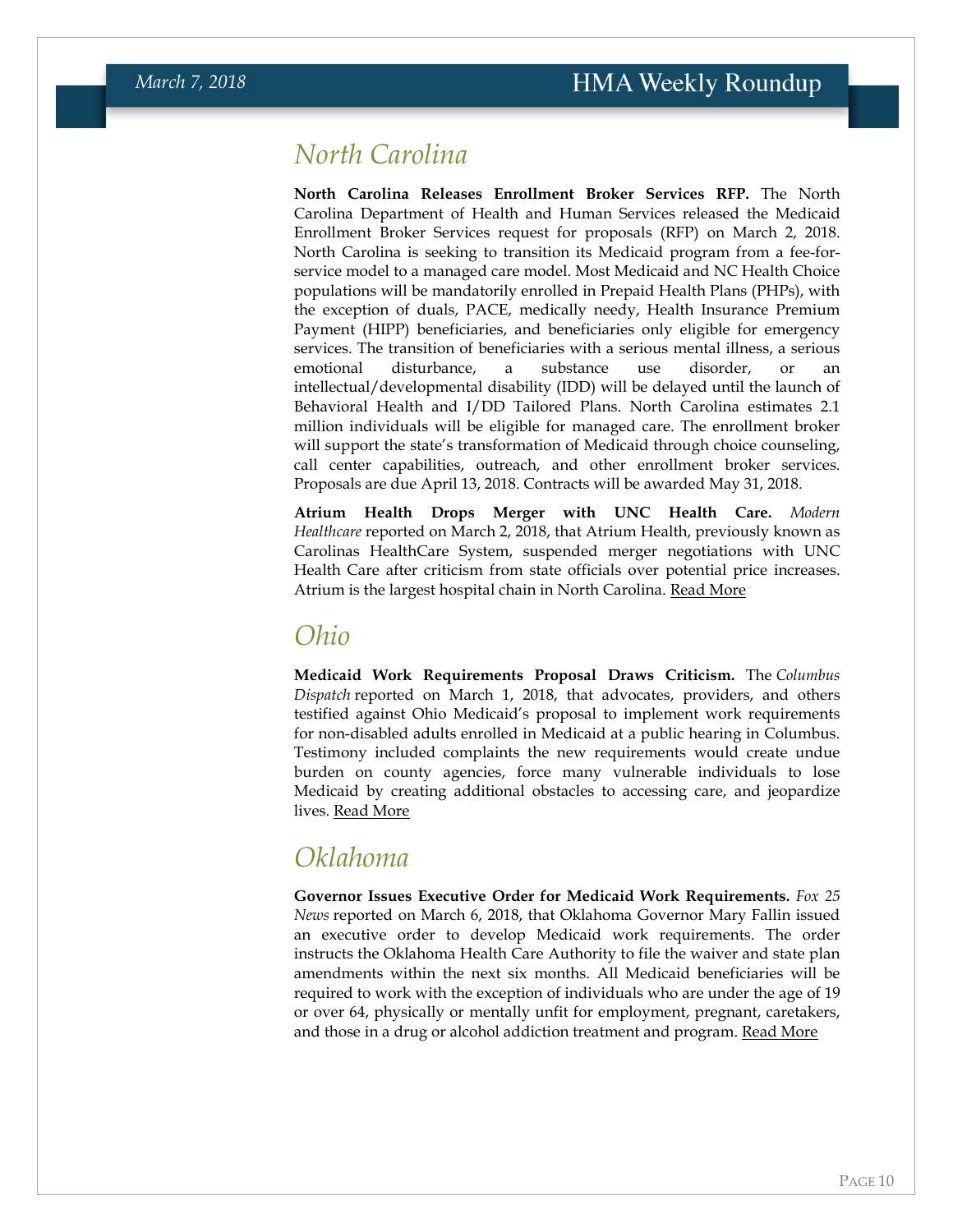## <span id="page-9-0"></span>*North Carolina*

**North Carolina Releases Enrollment Broker Services RFP.** The North Carolina Department of Health and Human Services released the Medicaid Enrollment Broker Services request for proposals (RFP) on March 2, 2018. North Carolina is seeking to transition its Medicaid program from a fee-forservice model to a managed care model. Most Medicaid and NC Health Choice populations will be mandatorily enrolled in Prepaid Health Plans (PHPs), with the exception of duals, PACE, medically needy, Health Insurance Premium Payment (HIPP) beneficiaries, and beneficiaries only eligible for emergency services. The transition of beneficiaries with a serious mental illness, a serious emotional disturbance, a substance use disorder, or an intellectual/developmental disability (IDD) will be delayed until the launch of Behavioral Health and I/DD Tailored Plans. North Carolina estimates 2.1 million individuals will be eligible for managed care. The enrollment broker will support the state's transformation of Medicaid through choice counseling, call center capabilities, outreach, and other enrollment broker services. Proposals are due April 13, 2018. Contracts will be awarded May 31, 2018.

**Atrium Health Drops Merger with UNC Health Care.** *Modern Healthcare* reported on March 2, 2018, that Atrium Health, previously known as Carolinas HealthCare System, suspended merger negotiations with UNC Health Care after criticism from state officials over potential price increases. Atrium is the largest hospital chain in North Carolina. [Read More](http://www.modernhealthcare.com/article/20180302/NEWS/180309966)

#### *Ohio*

**Medicaid Work Requirements Proposal Draws Criticism.** The *Columbus Dispatch* reported on March 1, 2018, that advocates, providers, and others testified against Ohio Medicaid's proposal to implement work requirements for non-disabled adults enrolled in Medicaid at a public hearing in Columbus. Testimony included complaints the new requirements would create undue burden on county agencies, force many vulnerable individuals to lose Medicaid by creating additional obstacles to accessing care, and jeopardize lives. [Read More](http://www.dispatch.com/news/20180301/critics-slam-medicaid-work-proposal)

### *Oklahoma*

**Governor Issues Executive Order for Medicaid Work Requirements.** *Fox 25 News* reported on March 6, 2018, that Oklahoma Governor Mary Fallin issued an executive order to develop Medicaid work requirements. The order instructs the Oklahoma Health Care Authority to file the waiver and state plan amendments within the next six months. All Medicaid beneficiaries will be required to work with the exception of individuals who are under the age of 19 or over 64, physically or mentally unfit for employment, pregnant, caretakers, and those in a drug or alcohol addiction treatment and program. [Read More](http://okcfox.com/news/local/fallin-files-executive-order-developing-work-requirement-for-those-receiving-medicaid)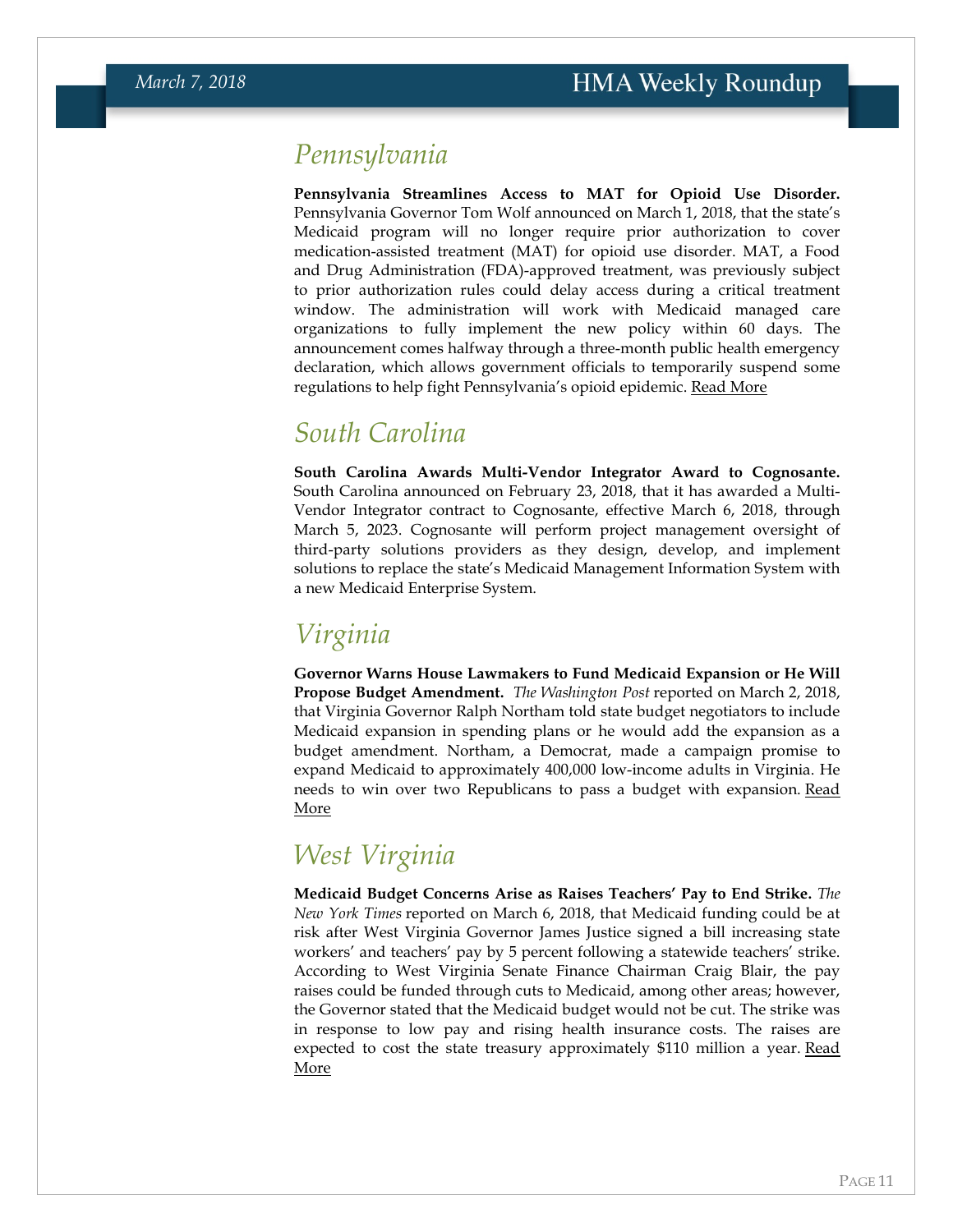## *Pennsylvania*

**Pennsylvania Streamlines Access to MAT for Opioid Use Disorder.**  Pennsylvania Governor Tom Wolf announced on March 1, 2018, that the state's Medicaid program will no longer require prior authorization to cover medication-assisted treatment (MAT) for opioid use disorder. MAT, a Food and Drug Administration (FDA)-approved treatment, was previously subject to prior authorization rules could delay access during a critical treatment window. The administration will work with Medicaid managed care organizations to fully implement the new policy within 60 days. The announcement comes halfway through a three-month public health emergency declaration, which allows government officials to temporarily suspend some regulations to help fight Pennsylvania's opioid epidemic. [Read More](https://www.governor.pa.gov/governor-wolf-announces-end-policy-delays-access-treatment-opioid-use-disorder)

### <span id="page-10-0"></span>*South Carolina*

**South Carolina Awards Multi-Vendor Integrator Award to Cognosante.**  South Carolina announced on February 23, 2018, that it has awarded a Multi-Vendor Integrator contract to Cognosante, effective March 6, 2018, through March 5, 2023. Cognosante will perform project management oversight of third-party solutions providers as they design, develop, and implement solutions to replace the state's Medicaid Management Information System with a new Medicaid Enterprise System.

## *Virginia*

**Governor Warns House Lawmakers to Fund Medicaid Expansion or He Will Propose Budget Amendment.** *The Washington Post* reported on March 2, 2018, that Virginia Governor Ralph Northam told state budget negotiators to include Medicaid expansion in spending plans or he would add the expansion as a budget amendment. Northam, a Democrat, made a campaign promise to expand Medicaid to approximately 400,000 low-income adults in Virginia. He needs to win over two Republicans to pass a budget with expansion. [Read](https://www.washingtonpost.com/local/virginia-politics/va-gov-northam-threatens-nicely-to-use-amendment-to-muscle-in-medicaid/2018/03/02/6ee732c2-1e34-11e8-ae5a-16e60e4605f3_story.html)  [More](https://www.washingtonpost.com/local/virginia-politics/va-gov-northam-threatens-nicely-to-use-amendment-to-muscle-in-medicaid/2018/03/02/6ee732c2-1e34-11e8-ae5a-16e60e4605f3_story.html)

## *West Virginia*

**Medicaid Budget Concerns Arise as Raises Teachers' Pay to End Strike.** *The New York Times* reported on March 6, 2018, that Medicaid funding could be at risk after West Virginia Governor James Justice signed a bill increasing state workers' and teachers' pay by 5 percent following a statewide teachers' strike. According to West Virginia Senate Finance Chairman Craig Blair, the pay raises could be funded through cuts to Medicaid, among other areas; however, the Governor stated that the Medicaid budget would not be cut. The strike was in response to low pay and rising health insurance costs. The raises are expected to cost the state treasury approximately \$110 million a year. Read [More](https://www.nytimes.com/2018/03/06/us/west-virginia-teachers-strike-deal.html)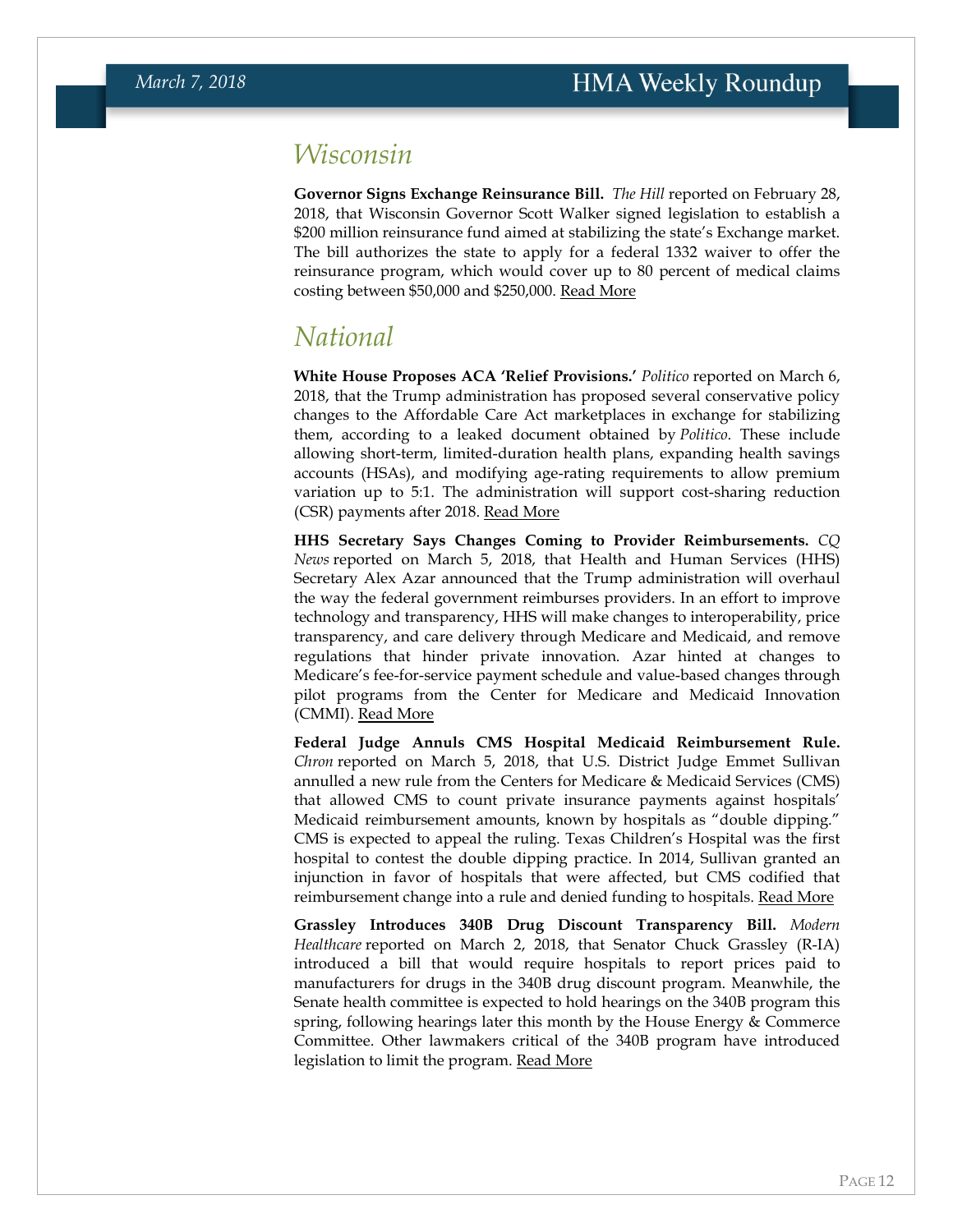### *Wisconsin*

**Governor Signs Exchange Reinsurance Bill.** *The Hill* reported on February 28, 2018, that Wisconsin Governor Scott Walker signed legislation to establish a \$200 million reinsurance fund aimed at stabilizing the state's Exchange market. The bill authorizes the state to apply for a federal 1332 waiver to offer the reinsurance program, which would cover up to 80 percent of medical claims costing between \$50,000 and \$250,000. [Read More](http://thehill.com/policy/healthcare/376016-obamacare-critic-gov-scott-walker-signs-bill-aimed-at-stabilizing-laws)

### <span id="page-11-0"></span>*National*

**White House Proposes ACA 'Relief Provisions.'** *Politico* reported on March 6, 2018, that the Trump administration has proposed several conservative policy changes to the Affordable Care Act marketplaces in exchange for stabilizing them, according to a leaked document obtained by *Politico*. These include allowing short-term, limited-duration health plans, expanding health savings accounts (HSAs), and modifying age-rating requirements to allow premium variation up to 5:1. The administration will support cost-sharing reduction (CSR) payments after 2018. [Read More](https://www.politico.com/story/2018/03/06/obamacare-democrats-white-house-insurance-stable-388816)

**HHS Secretary Says Changes Coming to Provider Reimbursements.** *CQ News* reported on March 5, 2018, that Health and Human Services (HHS) Secretary Alex Azar announced that the Trump administration will overhaul the way the federal government reimburses providers. In an effort to improve technology and transparency, HHS will make changes to interoperability, price transparency, and care delivery through Medicare and Medicaid, and remove regulations that hinder private innovation. Azar hinted at changes to Medicare's fee-for-service payment schedule and value-based changes through pilot programs from the Center for Medicare and Medicaid Innovation (CMMI). [Read More](https://plus.cq.com/login?jumpto=http%3A%2F%2Fplus.cq.com%2F)

**Federal Judge Annuls CMS Hospital Medicaid Reimbursement Rule.**  *Chron* reported on March 5, 2018, that U.S. District Judge Emmet Sullivan annulled a new rule from the Centers for Medicare & Medicaid Services (CMS) that allowed CMS to count private insurance payments against hospitals' Medicaid reimbursement amounts, known by hospitals as "double dipping." CMS is expected to appeal the ruling. Texas Children's Hospital was the first hospital to contest the double dipping practice. In 2014, Sullivan granted an injunction in favor of hospitals that were affected, but CMS codified that reimbursement change into a rule and denied funding to hospitals. [Read More](https://m.chron.com/news/houston-texas/houston/article/Texas-Children-s-to-recoup-tens-of-millions-12730243.php)

**Grassley Introduces 340B Drug Discount Transparency Bill.** *Modern Healthcare* reported on March 2, 2018, that Senator Chuck Grassley (R-IA) introduced a bill that would require hospitals to report prices paid to manufacturers for drugs in the 340B drug discount program. Meanwhile, the Senate health committee is expected to hold hearings on the 340B program this spring, following hearings later this month by the House Energy & Commerce Committee. Other lawmakers critical of the 340B program have introduced legislation to limit the program. [Read More](http://www.modernhealthcare.com/article/20180302/NEWS/180309973)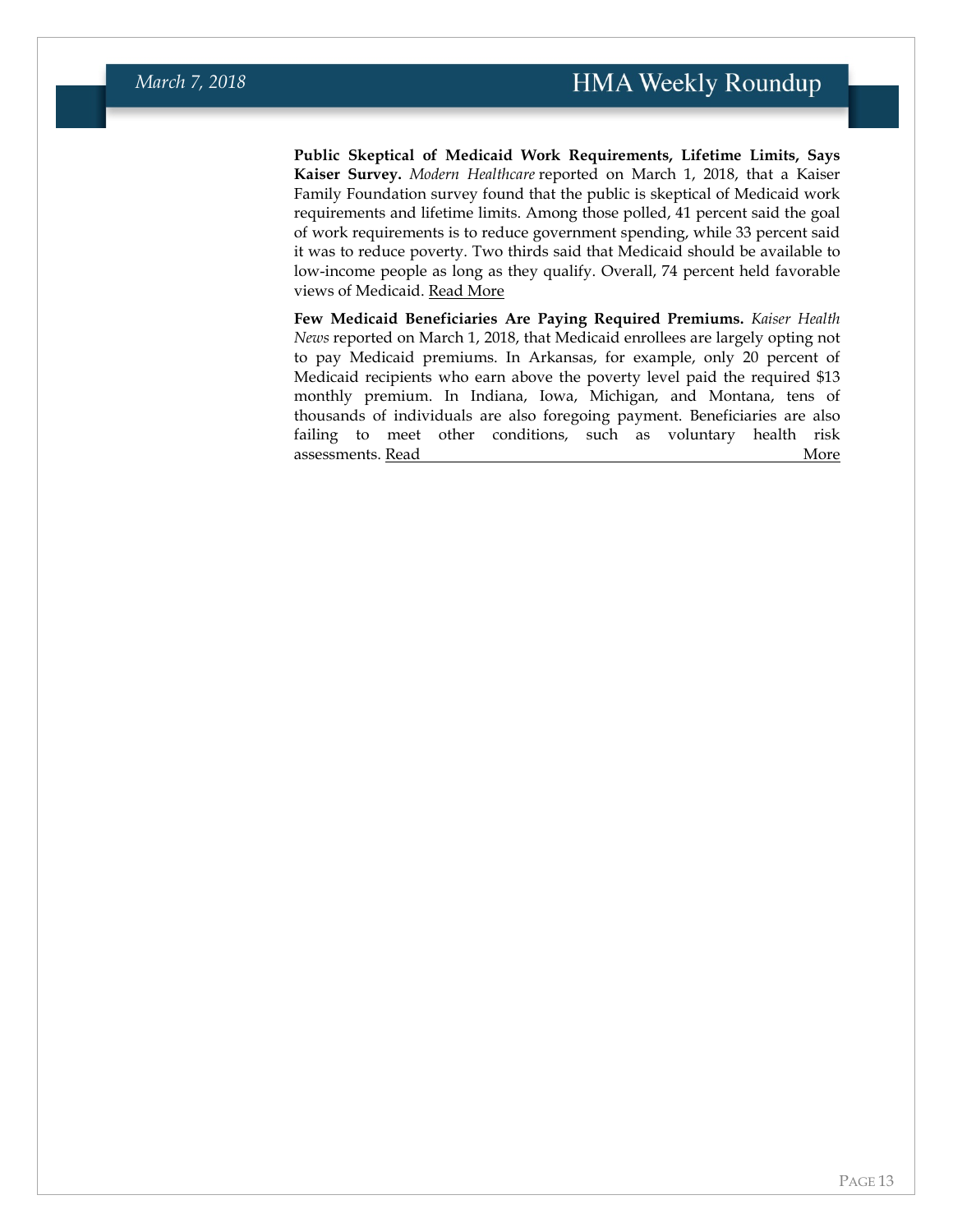**Public Skeptical of Medicaid Work Requirements, Lifetime Limits, Says Kaiser Survey.** *Modern Healthcare* reported on March 1, 2018, that a Kaiser Family Foundation survey found that the public is skeptical of Medicaid work requirements and lifetime limits. Among those polled, 41 percent said the goal of work requirements is to reduce government spending, while 33 percent said it was to reduce poverty. Two thirds said that Medicaid should be available to low-income people as long as they qualify. Overall, 74 percent held favorable views of Medicaid. [Read More](http://www.modernhealthcare.com/article/20180301/NEWS/180309999)

**Few Medicaid Beneficiaries Are Paying Required Premiums.** *Kaiser Health News* reported on March 1, 2018, that Medicaid enrollees are largely opting not to pay Medicaid premiums. In Arkansas, for example, only 20 percent of Medicaid recipients who earn above the poverty level paid the required \$13 monthly premium. In Indiana, Iowa, Michigan, and Montana, tens of thousands of individuals are also foregoing payment. Beneficiaries are also failing to meet other conditions, such as voluntary health risk assessments. [Read More](https://khn.org/news/tens-of-thousands-of-medicaid-recipients-skip-paying-new-premiums/)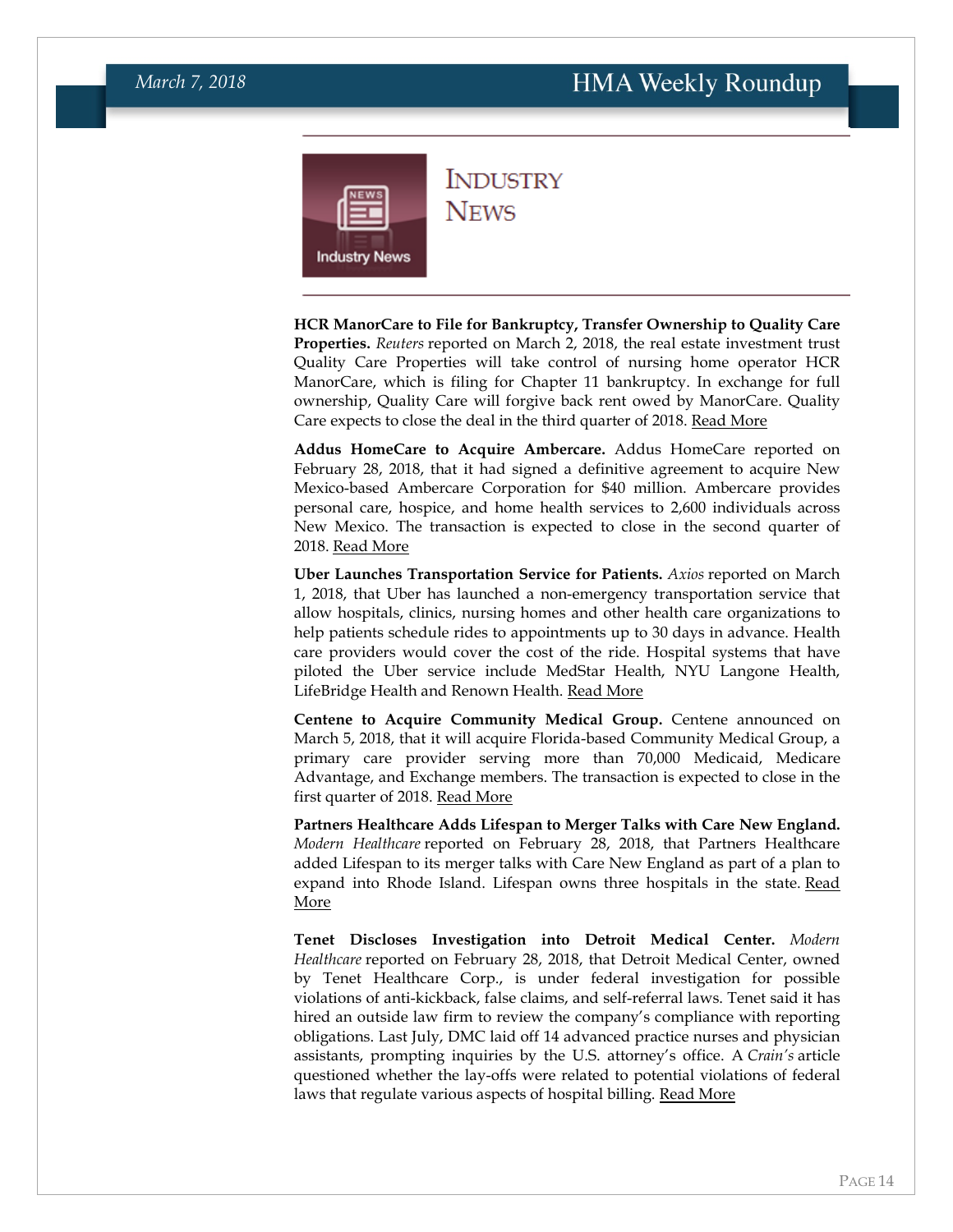<span id="page-13-0"></span>

**INDUSTRY NEWS** 

**HCR ManorCare to File for Bankruptcy, Transfer Ownership to Quality Care Properties.** *Reuters* reported on March 2, 2018, the real estate investment trust Quality Care Properties will take control of nursing home operator HCR ManorCare, which is filing for Chapter 11 bankruptcy. In exchange for full ownership, Quality Care will forgive back rent owed by ManorCare. Quality Care expects to close the deal in the third quarter of 2018. [Read More](https://www.reuters.com/article/us-hcr-manorcare-bankruptcy-quality-care/quality-care-to-take-over-hcr-manorcare-as-part-of-bankruptcy-deal-idUSKCN1GE1V4)

**Addus HomeCare to Acquire Ambercare.** Addus HomeCare reported on February 28, 2018, that it had signed a definitive agreement to acquire New Mexico-based Ambercare Corporation for \$40 million. Ambercare provides personal care, hospice, and home health services to 2,600 individuals across New Mexico. The transaction is expected to close in the second quarter of 2018. [Read More](https://www.prnewswire.com/news-releases/addus-homecare-increases-presence-in-new-mexico-with-agreement-to-purchase-ambercare-corporation-300606090.html)

**Uber Launches Transportation Service for Patients.** *Axios* reported on March 1, 2018, that Uber has launched a non-emergency transportation service that allow hospitals, clinics, nursing homes and other health care organizations to help patients schedule rides to appointments up to 30 days in advance. Health care providers would cover the cost of the ride. Hospital systems that have piloted the Uber service include MedStar Health, NYU Langone Health, LifeBridge Health and Renown Health. [Read More](https://www.axios.com/uber-health-care-rides-1519837608-c54a7f06-51dd-4e2f-8293-96f5645de3ad.html)

**Centene to Acquire Community Medical Group.** Centene announced on March 5, 2018, that it will acquire Florida-based Community Medical Group, a primary care provider serving more than 70,000 Medicaid, Medicare Advantage, and Exchange members. The transaction is expected to close in the first quarter of 2018. [Read More](https://centene.gcs-web.com/news-releases/news-release-details/centene-acquire-community-medical-group-expand-its-provider)

**Partners Healthcare Adds Lifespan to Merger Talks with Care New England.** *Modern Healthcare* reported on February 28, 2018, that Partners Healthcare added Lifespan to its merger talks with Care New England as part of a plan to expand into Rhode Island. Lifespan owns three hospitals in the state. [Read](http://www.modernhealthcare.com/article/20180228/NEWS/180229907)  [More](http://www.modernhealthcare.com/article/20180228/NEWS/180229907)

**Tenet Discloses Investigation into Detroit Medical Center.** *Modern Healthcare* reported on February 28, 2018, that Detroit Medical Center, owned by Tenet Healthcare Corp., is under federal investigation for possible violations of anti-kickback, false claims, and self-referral laws. Tenet said it has hired an outside law firm to review the company's compliance with reporting obligations. Last July, DMC laid off 14 advanced practice nurses and physician assistants, prompting inquiries by the U.S. attorney's office. A *Crain's* article questioned whether the lay-offs were related to potential violations of federal laws that regulate various aspects of hospital billing. [Read More](http://www.modernhealthcare.com/article/20180228/NEWS/180229909)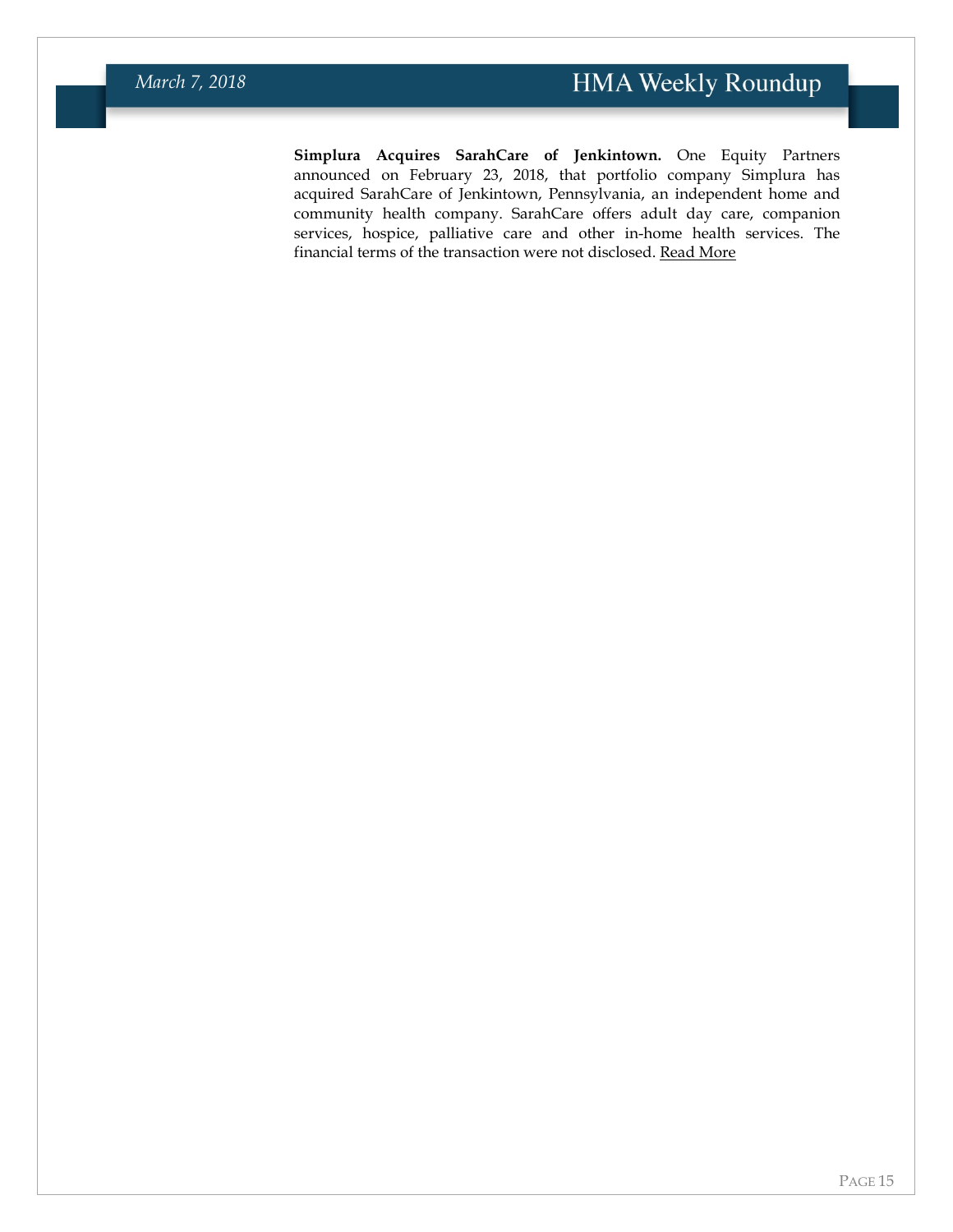**Simplura Acquires SarahCare of Jenkintown.** One Equity Partners announced on February 23, 2018, that portfolio company Simplura has acquired SarahCare of Jenkintown, Pennsylvania, an independent home and community health company. SarahCare offers adult day care, companion services, hospice, palliative care and other in-home health services. The financial terms of the transaction were not disclosed. [Read More](https://www.pehub.com/2018/02/oep-backed-simplura-acquires-sarahcare-jenkintown/)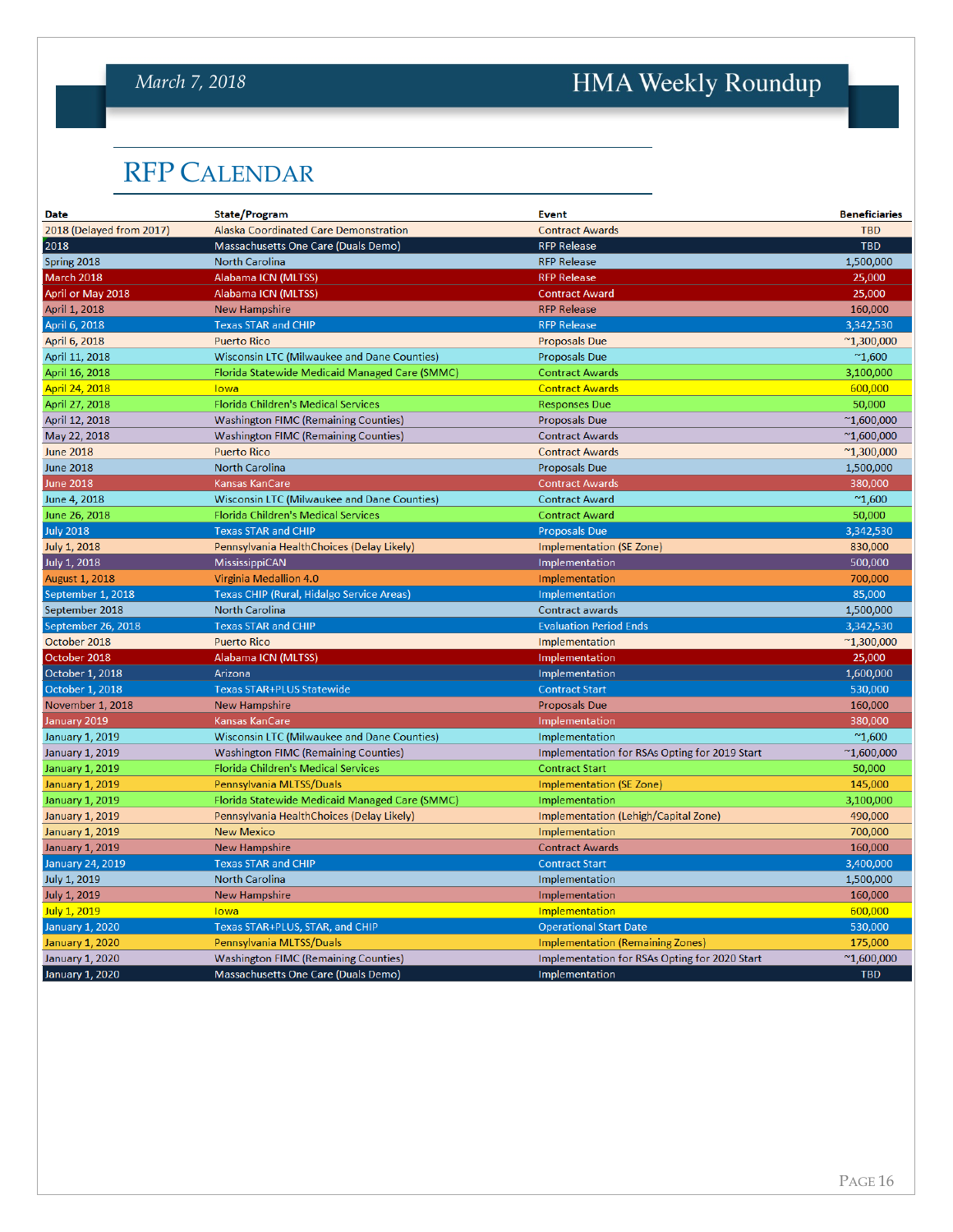#### *March 7, 2018*

# HMA Weekly Roundup

## <span id="page-15-0"></span>RFP CALENDAR

| <b>Date</b>              | State/Program                                  | <b>Event</b>                                  | <b>Beneficiaries</b> |
|--------------------------|------------------------------------------------|-----------------------------------------------|----------------------|
| 2018 (Delayed from 2017) | Alaska Coordinated Care Demonstration          | <b>Contract Awards</b>                        | <b>TBD</b>           |
| 2018                     | Massachusetts One Care (Duals Demo)            | <b>RFP Release</b>                            | <b>TBD</b>           |
| Spring 2018              | North Carolina                                 | <b>RFP Release</b>                            | 1,500,000            |
| March 2018               | Alabama ICN (MLTSS)                            | <b>RFP Release</b>                            | 25,000               |
| April or May 2018        | Alabama ICN (MLTSS)                            | <b>Contract Award</b>                         | 25,000               |
| April 1, 2018            | <b>New Hampshire</b>                           | <b>RFP Release</b>                            | 160,000              |
| April 6, 2018            | <b>Texas STAR and CHIP</b>                     | <b>RFP Release</b>                            | 3,342,530            |
| April 6, 2018            | <b>Puerto Rico</b>                             | <b>Proposals Due</b>                          | $^{\sim}$ 1,300,000  |
| April 11, 2018           | Wisconsin LTC (Milwaukee and Dane Counties)    | <b>Proposals Due</b>                          | $^{\sim}1,600$       |
| April 16, 2018           | Florida Statewide Medicaid Managed Care (SMMC) | <b>Contract Awards</b>                        | 3,100,000            |
| April 24, 2018           | lowa                                           | <b>Contract Awards</b>                        | 600,000              |
| April 27, 2018           | Florida Children's Medical Services            | <b>Responses Due</b>                          | 50,000               |
| April 12, 2018           | <b>Washington FIMC (Remaining Counties)</b>    | <b>Proposals Due</b>                          | $^{\sim}1,600,000$   |
| May 22, 2018             | <b>Washington FIMC (Remaining Counties)</b>    | <b>Contract Awards</b>                        | $^{\sim}1,600,000$   |
| <b>June 2018</b>         | <b>Puerto Rico</b>                             | <b>Contract Awards</b>                        | $^{\sim}1,300,000$   |
| <b>June 2018</b>         | <b>North Carolina</b>                          | <b>Proposals Due</b>                          | 1,500,000            |
| <b>June 2018</b>         | <b>Kansas KanCare</b>                          | <b>Contract Awards</b>                        | 380,000              |
| June 4, 2018             | Wisconsin LTC (Milwaukee and Dane Counties)    | <b>Contract Award</b>                         | $^{\sim}1,600$       |
| June 26, 2018            | Florida Children's Medical Services            | <b>Contract Award</b>                         | 50,000               |
| <b>July 2018</b>         | <b>Texas STAR and CHIP</b>                     | <b>Proposals Due</b>                          | 3,342,530            |
| <b>July 1, 2018</b>      | Pennsylvania HealthChoices (Delay Likely)      | <b>Implementation (SE Zone)</b>               | 830,000              |
| July 1, 2018             | MississippiCAN                                 | Implementation                                | 500,000              |
| <b>August 1, 2018</b>    | Virginia Medallion 4.0                         | Implementation                                | 700,000              |
| September 1, 2018        | Texas CHIP (Rural, Hidalgo Service Areas)      | Implementation                                | 85,000               |
| September 2018           | North Carolina                                 | Contract awards                               | 1,500,000            |
| September 26, 2018       | <b>Texas STAR and CHIP</b>                     | <b>Evaluation Period Ends</b>                 | 3,342,530            |
| October 2018             | <b>Puerto Rico</b>                             | Implementation                                | $^{\sim}1,300,000$   |
| October 2018             | Alabama ICN (MLTSS)                            | Implementation                                | 25,000               |
| October 1, 2018          | Arizona                                        | Implementation                                | 1,600,000            |
| October 1, 2018          | <b>Texas STAR+PLUS Statewide</b>               | <b>Contract Start</b>                         | 530,000              |
| November 1, 2018         | New Hampshire                                  | <b>Proposals Due</b>                          | 160,000              |
| January 2019             | Kansas KanCare                                 | Implementation                                | 380,000              |
| <b>January 1, 2019</b>   | Wisconsin LTC (Milwaukee and Dane Counties)    | Implementation                                | $^{\sim}1,600$       |
| January 1, 2019          | <b>Washington FIMC (Remaining Counties)</b>    | Implementation for RSAs Opting for 2019 Start | $^{\sim}1,600,000$   |
| <b>January 1, 2019</b>   | Florida Children's Medical Services            | <b>Contract Start</b>                         | 50,000               |
| January 1, 2019          | Pennsylvania MLTSS/Duals                       | Implementation (SE Zone)                      | 145,000              |
| January 1, 2019          | Florida Statewide Medicaid Managed Care (SMMC) | Implementation                                | 3,100,000            |
| <b>January 1, 2019</b>   | Pennsylvania HealthChoices (Delay Likely)      | Implementation (Lehigh/Capital Zone)          | 490,000              |
| January 1, 2019          | <b>New Mexico</b>                              | Implementation                                | 700,000              |
| <b>January 1, 2019</b>   | New Hampshire                                  | <b>Contract Awards</b>                        | 160,000              |
| <b>January 24, 2019</b>  | <b>Texas STAR and CHIP</b>                     | <b>Contract Start</b>                         | 3,400,000            |
| <b>July 1, 2019</b>      | <b>North Carolina</b>                          | Implementation                                | 1,500,000            |
| July 1, 2019             | New Hampshire                                  | Implementation                                | 160,000              |
| July 1, 2019             | lowa                                           | Implementation                                | 600,000              |
| <b>January 1, 2020</b>   | Texas STAR+PLUS, STAR, and CHIP                | <b>Operational Start Date</b>                 | 530,000              |
| <b>January 1, 2020</b>   | Pennsylvania MLTSS/Duals                       | <b>Implementation (Remaining Zones)</b>       | 175,000              |
| <b>January 1, 2020</b>   | <b>Washington FIMC (Remaining Counties)</b>    | Implementation for RSAs Opting for 2020 Start | $^{\sim}1,600,000$   |
| January 1, 2020          | Massachusetts One Care (Duals Demo)            | Implementation                                | <b>TBD</b>           |